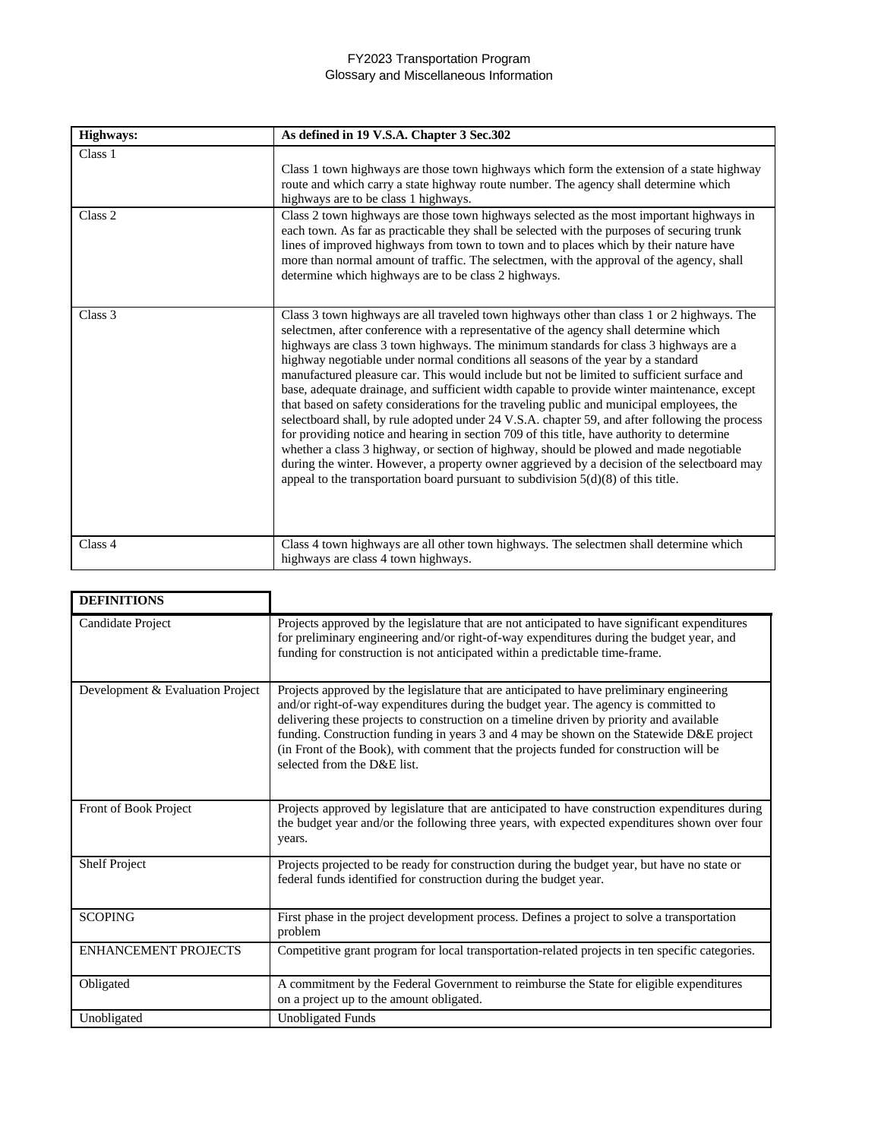## FY2023 Transportation Program Glossary and Miscellaneous Information

| <b>Highways:</b> | As defined in 19 V.S.A. Chapter 3 Sec.302                                                                                                                                                                                                                                                                                                                                                                                                                                                                                                                                                                                                                                                                                                                                                                                                                                                                                                                                                                                                                                                                                                 |
|------------------|-------------------------------------------------------------------------------------------------------------------------------------------------------------------------------------------------------------------------------------------------------------------------------------------------------------------------------------------------------------------------------------------------------------------------------------------------------------------------------------------------------------------------------------------------------------------------------------------------------------------------------------------------------------------------------------------------------------------------------------------------------------------------------------------------------------------------------------------------------------------------------------------------------------------------------------------------------------------------------------------------------------------------------------------------------------------------------------------------------------------------------------------|
| Class 1          | Class 1 town highways are those town highways which form the extension of a state highway<br>route and which carry a state highway route number. The agency shall determine which<br>highways are to be class 1 highways.                                                                                                                                                                                                                                                                                                                                                                                                                                                                                                                                                                                                                                                                                                                                                                                                                                                                                                                 |
| Class 2          | Class 2 town highways are those town highways selected as the most important highways in<br>each town. As far as practicable they shall be selected with the purposes of securing trunk<br>lines of improved highways from town to town and to places which by their nature have<br>more than normal amount of traffic. The selectmen, with the approval of the agency, shall<br>determine which highways are to be class 2 highways.                                                                                                                                                                                                                                                                                                                                                                                                                                                                                                                                                                                                                                                                                                     |
| Class 3          | Class 3 town highways are all traveled town highways other than class 1 or 2 highways. The<br>selectmen, after conference with a representative of the agency shall determine which<br>highways are class 3 town highways. The minimum standards for class 3 highways are a<br>highway negotiable under normal conditions all seasons of the year by a standard<br>manufactured pleasure car. This would include but not be limited to sufficient surface and<br>base, adequate drainage, and sufficient width capable to provide winter maintenance, except<br>that based on safety considerations for the traveling public and municipal employees, the<br>selectboard shall, by rule adopted under 24 V.S.A. chapter 59, and after following the process<br>for providing notice and hearing in section 709 of this title, have authority to determine<br>whether a class 3 highway, or section of highway, should be plowed and made negotiable<br>during the winter. However, a property owner aggrieved by a decision of the selectboard may<br>appeal to the transportation board pursuant to subdivision $5(d)(8)$ of this title. |
| Class 4          | Class 4 town highways are all other town highways. The selectmen shall determine which<br>highways are class 4 town highways.                                                                                                                                                                                                                                                                                                                                                                                                                                                                                                                                                                                                                                                                                                                                                                                                                                                                                                                                                                                                             |

| <b>DEFINITIONS</b>               |                                                                                                                                                                                                                                                                                                                                                                                                                                                                                                   |
|----------------------------------|---------------------------------------------------------------------------------------------------------------------------------------------------------------------------------------------------------------------------------------------------------------------------------------------------------------------------------------------------------------------------------------------------------------------------------------------------------------------------------------------------|
| Candidate Project                | Projects approved by the legislature that are not anticipated to have significant expenditures<br>for preliminary engineering and/or right-of-way expenditures during the budget year, and<br>funding for construction is not anticipated within a predictable time-frame.                                                                                                                                                                                                                        |
| Development & Evaluation Project | Projects approved by the legislature that are anticipated to have preliminary engineering<br>and/or right-of-way expenditures during the budget year. The agency is committed to<br>delivering these projects to construction on a timeline driven by priority and available<br>funding. Construction funding in years 3 and 4 may be shown on the Statewide D&E project<br>(in Front of the Book), with comment that the projects funded for construction will be<br>selected from the D&E list. |
| Front of Book Project            | Projects approved by legislature that are anticipated to have construction expenditures during<br>the budget year and/or the following three years, with expected expenditures shown over four<br>years.                                                                                                                                                                                                                                                                                          |
| <b>Shelf Project</b>             | Projects projected to be ready for construction during the budget year, but have no state or<br>federal funds identified for construction during the budget year.                                                                                                                                                                                                                                                                                                                                 |
| <b>SCOPING</b>                   | First phase in the project development process. Defines a project to solve a transportation<br>problem                                                                                                                                                                                                                                                                                                                                                                                            |
| <b>ENHANCEMENT PROJECTS</b>      | Competitive grant program for local transportation-related projects in ten specific categories.                                                                                                                                                                                                                                                                                                                                                                                                   |
| Obligated                        | A commitment by the Federal Government to reimburse the State for eligible expenditures<br>on a project up to the amount obligated.                                                                                                                                                                                                                                                                                                                                                               |
| Unobligated                      | <b>Unobligated Funds</b>                                                                                                                                                                                                                                                                                                                                                                                                                                                                          |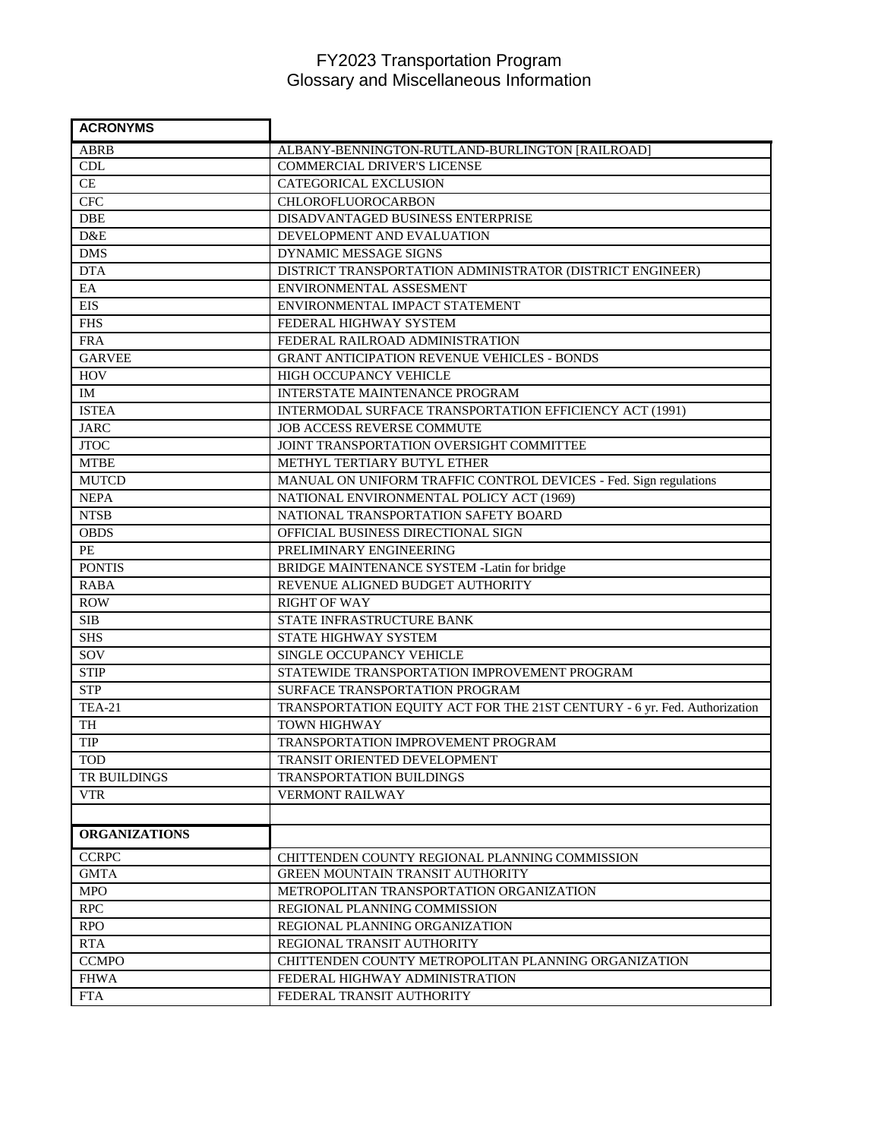## FY2023 Transportation Program Glossary and Miscellaneous Information

| <b>ACRONYMS</b>      |                                                                           |
|----------------------|---------------------------------------------------------------------------|
| <b>ABRB</b>          | ALBANY-BENNINGTON-RUTLAND-BURLINGTON [RAILROAD]                           |
| CDL                  | <b>COMMERCIAL DRIVER'S LICENSE</b>                                        |
| CE                   | CATEGORICAL EXCLUSION                                                     |
| <b>CFC</b>           | <b>CHLOROFLUOROCARBON</b>                                                 |
| <b>DBE</b>           | DISADVANTAGED BUSINESS ENTERPRISE                                         |
| D&E                  | DEVELOPMENT AND EVALUATION                                                |
| <b>DMS</b>           | DYNAMIC MESSAGE SIGNS                                                     |
| <b>DTA</b>           | DISTRICT TRANSPORTATION ADMINISTRATOR (DISTRICT ENGINEER)                 |
| EA                   | ENVIRONMENTAL ASSESMENT                                                   |
| <b>EIS</b>           | ENVIRONMENTAL IMPACT STATEMENT                                            |
| <b>FHS</b>           | FEDERAL HIGHWAY SYSTEM                                                    |
| <b>FRA</b>           | FEDERAL RAILROAD ADMINISTRATION                                           |
| <b>GARVEE</b>        | <b>GRANT ANTICIPATION REVENUE VEHICLES - BONDS</b>                        |
| <b>HOV</b>           | HIGH OCCUPANCY VEHICLE                                                    |
| IM                   | INTERSTATE MAINTENANCE PROGRAM                                            |
| <b>ISTEA</b>         | INTERMODAL SURFACE TRANSPORTATION EFFICIENCY ACT (1991)                   |
| <b>JARC</b>          | JOB ACCESS REVERSE COMMUTE                                                |
| <b>JTOC</b>          | JOINT TRANSPORTATION OVERSIGHT COMMITTEE                                  |
| <b>MTBE</b>          | METHYL TERTIARY BUTYL ETHER                                               |
| <b>MUTCD</b>         | MANUAL ON UNIFORM TRAFFIC CONTROL DEVICES - Fed. Sign regulations         |
| <b>NEPA</b>          | NATIONAL ENVIRONMENTAL POLICY ACT (1969)                                  |
| <b>NTSB</b>          | NATIONAL TRANSPORTATION SAFETY BOARD                                      |
| <b>OBDS</b>          | OFFICIAL BUSINESS DIRECTIONAL SIGN                                        |
| PE                   | PRELIMINARY ENGINEERING                                                   |
| <b>PONTIS</b>        | BRIDGE MAINTENANCE SYSTEM -Latin for bridge                               |
| <b>RABA</b>          | REVENUE ALIGNED BUDGET AUTHORITY                                          |
| <b>ROW</b>           | <b>RIGHT OF WAY</b>                                                       |
| <b>SIB</b>           | STATE INFRASTRUCTURE BANK                                                 |
| <b>SHS</b>           | STATE HIGHWAY SYSTEM                                                      |
| SOV                  | SINGLE OCCUPANCY VEHICLE                                                  |
| <b>STIP</b>          | STATEWIDE TRANSPORTATION IMPROVEMENT PROGRAM                              |
| <b>STP</b>           | SURFACE TRANSPORTATION PROGRAM                                            |
| <b>TEA-21</b>        | TRANSPORTATION EQUITY ACT FOR THE 21ST CENTURY - 6 yr. Fed. Authorization |
| TH                   | <b>TOWN HIGHWAY</b>                                                       |
| <b>TIP</b>           | TRANSPORTATION IMPROVEMENT PROGRAM                                        |
| <b>TOD</b>           | TRANSIT ORIENTED DEVELOPMENT                                              |
| TR BUILDINGS         | <b>TRANSPORTATION BUILDINGS</b>                                           |
| <b>VTR</b>           | <b>VERMONT RAILWAY</b>                                                    |
|                      |                                                                           |
| <b>ORGANIZATIONS</b> |                                                                           |
| <b>CCRPC</b>         | CHITTENDEN COUNTY REGIONAL PLANNING COMMISSION                            |
| <b>GMTA</b>          | GREEN MOUNTAIN TRANSIT AUTHORITY                                          |
| <b>MPO</b>           | METROPOLITAN TRANSPORTATION ORGANIZATION                                  |
| <b>RPC</b>           | REGIONAL PLANNING COMMISSION                                              |
| <b>RPO</b>           | REGIONAL PLANNING ORGANIZATION                                            |
| <b>RTA</b>           | REGIONAL TRANSIT AUTHORITY                                                |
| <b>CCMPO</b>         | CHITTENDEN COUNTY METROPOLITAN PLANNING ORGANIZATION                      |
| <b>FHWA</b>          | FEDERAL HIGHWAY ADMINISTRATION                                            |
| <b>FTA</b>           | FEDERAL TRANSIT AUTHORITY                                                 |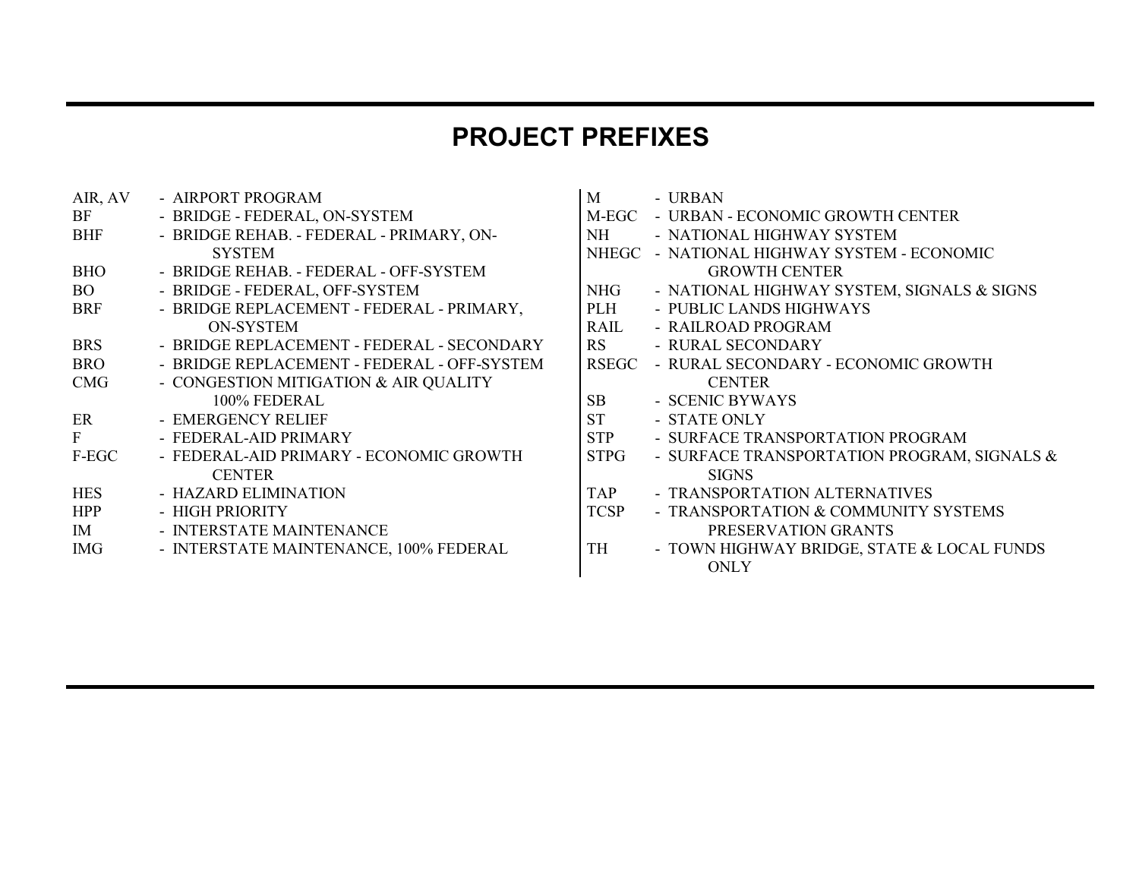## **PROJECT PREFIXES**

| AIR, AV    | - AIRPORT PROGRAM                           | M              | - URBAN                                     |
|------------|---------------------------------------------|----------------|---------------------------------------------|
| BF         | - BRIDGE - FEDERAL, ON-SYSTEM               | M-EGC          | - URBAN - ECONOMIC GROWTH CENTER            |
| <b>BHF</b> | - BRIDGE REHAB. - FEDERAL - PRIMARY, ON-    | NH 1           | - NATIONAL HIGHWAY SYSTEM                   |
|            | <b>SYSTEM</b>                               |                | NHEGC - NATIONAL HIGHWAY SYSTEM - ECONOMIC  |
| <b>BHO</b> | - BRIDGE REHAB. - FEDERAL - OFF-SYSTEM      |                | <b>GROWTH CENTER</b>                        |
| <b>BO</b>  | - BRIDGE - FEDERAL, OFF-SYSTEM              | NHG            | - NATIONAL HIGHWAY SYSTEM, SIGNALS & SIGNS  |
| <b>BRF</b> | - BRIDGE REPLACEMENT - FEDERAL - PRIMARY,   | PLH            | - PUBLIC LANDS HIGHWAYS                     |
|            | ON-SYSTEM                                   | RAIL           | - RAILROAD PROGRAM                          |
| <b>BRS</b> | - BRIDGE REPLACEMENT - FEDERAL - SECONDARY  | <b>RS</b>      | - RURAL SECONDARY                           |
| <b>BRO</b> | - BRIDGE REPLACEMENT - FEDERAL - OFF-SYSTEM | <b>RSEGC</b>   | - RURAL SECONDARY - ECONOMIC GROWTH         |
| <b>CMG</b> | - CONGESTION MITIGATION & AIR QUALITY       |                | <b>CENTER</b>                               |
|            | 100% FEDERAL                                | S <sub>B</sub> | - SCENIC BYWAYS                             |
| ER         | - EMERGENCY RELIEF                          | <b>ST</b>      | - STATE ONLY                                |
| F          | - FEDERAL-AID PRIMARY                       | <b>STP</b>     | - SURFACE TRANSPORTATION PROGRAM            |
| F-EGC      | - FEDERAL-AID PRIMARY - ECONOMIC GROWTH     | STPG           | - SURFACE TRANSPORTATION PROGRAM, SIGNALS & |
|            | <b>CENTER</b>                               |                | <b>SIGNS</b>                                |
| <b>HES</b> | - HAZARD ELIMINATION                        | <b>TAP</b>     | - TRANSPORTATION ALTERNATIVES               |
| <b>HPP</b> | - HIGH PRIORITY                             | <b>TCSP</b>    | - TRANSPORTATION & COMMUNITY SYSTEMS        |
| IM         | - INTERSTATE MAINTENANCE                    |                | PRESERVATION GRANTS                         |
| <b>IMG</b> | - INTERSTATE MAINTENANCE, 100% FEDERAL      | TH             | - TOWN HIGHWAY BRIDGE, STATE & LOCAL FUNDS  |
|            |                                             |                | $\triangle$ $\triangle$ $\triangle$         |

| M           | - URBAN                                        |
|-------------|------------------------------------------------|
|             | M-EGC - URBAN - ECONOMIC GROWTH CENTER         |
| NH.         | - NATIONAL HIGHWAY SYSTEM                      |
|             | NHEGC - NATIONAL HIGHWAY SYSTEM - ECONOMIC     |
|             | <b>GROWTH CENTER</b>                           |
|             | NHG - NATIONAL HIGHWAY SYSTEM, SIGNALS & SIGNS |
| PLH         | - PUBLIC LANDS HIGHWAYS                        |
| RAII.       | - RAJLROAD PROGRAM                             |
| <b>RS</b>   | - RURAL SECONDARY                              |
|             | RSEGC - RURAL SECONDARY - ECONOMIC GROWTH      |
|             | <b>CENTER</b>                                  |
| SB          | - SCENIC BYWAYS                                |
| <b>ST</b>   | - STATE ONLY                                   |
| <b>STP</b>  | - SURFACE TRANSPORTATION PROGRAM               |
| <b>STPG</b> | - SURFACE TRANSPORTATION PROGRAM, SIGNALS &    |
|             | <b>SIGNS</b>                                   |
| <b>TAP</b>  | - TRANSPORTATION ALTERNATIVES                  |
| <b>TCSP</b> | - TRANSPORTATION & COMMUNITY SYSTEMS           |
|             | PRESERVATION GRANTS                            |
| TH          | - TOWN HIGHWAY BRIDGE, STATE & LOCAL FUNDS     |
|             | <b>ONLY</b>                                    |
|             |                                                |